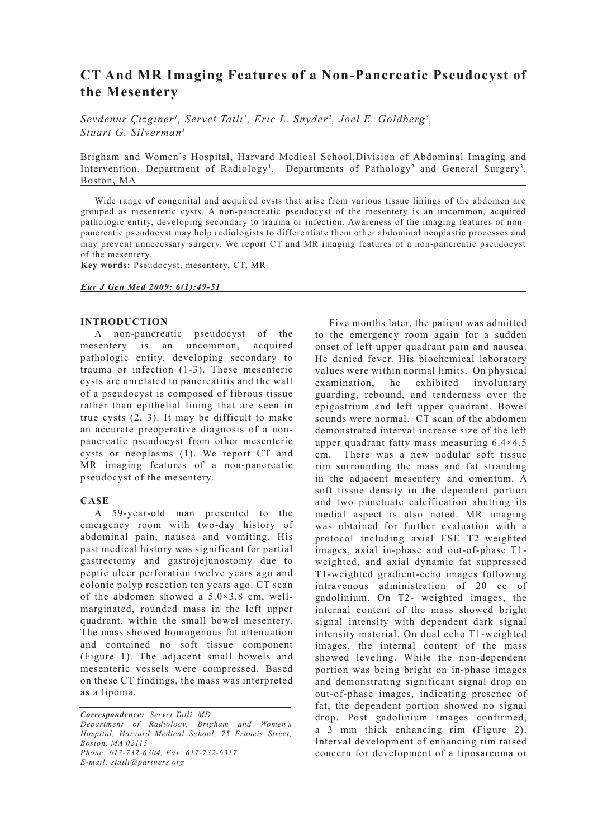# **CT And MR Imaging Features of a Non-Pancreatic Pseudocyst of the Mesentery**

*Sevdenur Çizginer<sup>1</sup>, Servet Tatlı<sup>1</sup>, Eric L. Snyder<sup>2</sup>, Joel E. Goldberg<sup>3</sup>, Stuart G. Silverman1*

Brigham and Women's Hospital, Harvard Medical School,Division of Abdominal Imaging and Intervention, Department of Radiology<sup>1</sup>, Departments of Pathology<sup>2</sup> and General Surgery<sup>3</sup>, Boston, MA

Wide range of congenital and acquired cysts that arise from various tissue linings of the abdomen are grouped as mesenteric cysts. A non-pancreatic pseudocyst of the mesentery is an uncommon, acquired pathologic entity, developing secondary to trauma or infection. Awareness of the imaging features of nonpancreatic pseudocyst may help radiologists to differentiate them other abdominal neoplastic processes and may prevent unnecessary surgery. We report CT and MR imaging features of a non-pancreatic pseudocyst of the mesentery.

**Key words:** Pseudocyst, mesentery, CT, MR

#### *Eur J Gen Med 2009; 6(1):49-51*

## **INTRODUCTION**

A non-pancreatic pseudocyst of the mesentery is an uncommon, acquired pathologic entity, developing secondary to trauma or infection (1-3). These mesenteric cysts are unrelated to pancreatitis and the wall of a pseudocyst is composed of fibrous tissue rather than epithelial lining that are seen in true cysts (2, 3). It may be difficult to make an accurate preoperative diagnosis of a nonpancreatic pseudocyst from other mesenteric cysts or neoplasms (1). We report CT and MR imaging features of a non-pancreatic pseudocyst of the mesentery.

### **CASE**

A 59-year-old man presented to the emergency room with two-day history of abdominal pain, nausea and vomiting. His past medical history was significant for partial gastrectomy and gastrojejunostomy due to peptic ulcer perforation twelve years ago and colonic polyp resection ten years ago. CT scan of the abdomen showed a  $5.0 \times 3.8$  cm, wellmarginated, rounded mass in the left upper quadrant, within the small bowel mesentery. The mass showed homogenous fat attenuation and contained no soft tissue component (Figure 1). The adjacent small bowels and mesenteric vessels were compressed. Based on these CT findings, the mass was interpreted as a lipoma.

*Correspondence: Servet Tatli, MD Department of Radiology, Brigham and Women's Hospital, Harvard Medical School, 75 Francis Street, Boston, MA 02115 Phone: 617-732-6304, Fax: 617-732-6317 E-mail: statli@partners.org*

Five months later, the patient was admitted to the emergency room again for a sudden onset of left upper quadrant pain and nausea. He denied fever. His biochemical laboratory values were within normal limits. On physical examination, he exhibited involuntary guarding, rebound, and tenderness over the epigastrium and left upper quadrant. Bowel sounds were normal. CT scan of the abdomen demonstrated interval increase size of the left upper quadrant fatty mass measuring 6.4×4.5 cm. There was a new nodular soft tissue rim surrounding the mass and fat stranding in the adjacent mesentery and omentum. A soft tissue density in the dependent portion and two punctuate calcification abutting its medial aspect is also noted. MR imaging was obtained for further evaluation with a protocol including axial FSE T2–weighted images, axial in-phase and out-of-phase T1 weighted, and axial dynamic fat suppressed T1-weighted gradient-echo images following intravenous administration of 20 cc of gadolinium. On T2- weighted images, the internal content of the mass showed bright signal intensity with dependent dark signal intensity material. On dual echo T1-weighted images, the internal content of the mass showed leveling. While the non-dependent portion was being bright on in-phase images and demonstrating significant signal drop on out-of-phase images, indicating presence of fat, the dependent portion showed no signal drop. Post gadolinium images confirmed, a 3 mm thick enhancing rim (Figure 2). Interval development of enhancing rim raised concern for development of a liposarcoma or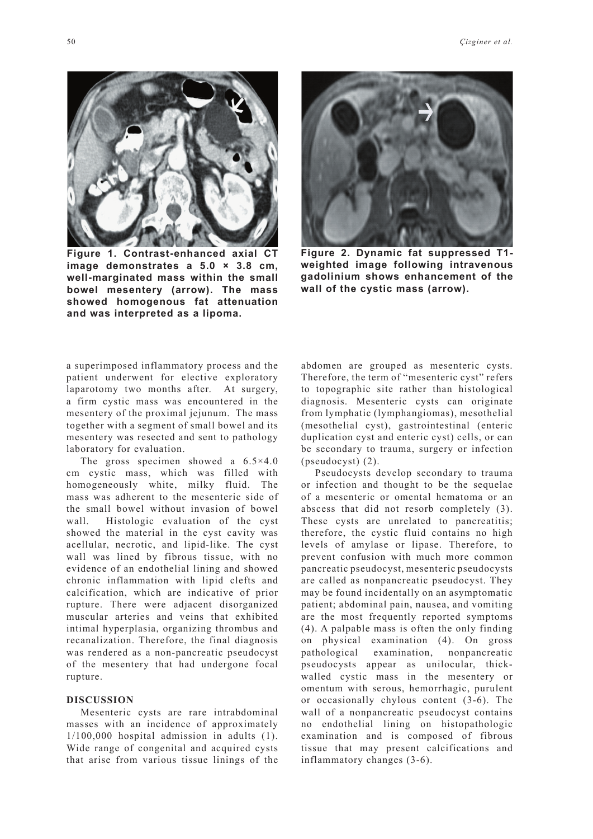

**Figure 1. Contrast-enhanced axial CT image demonstrates a 5.0 × 3.8 cm, well-marginated mass within the small bowel mesentery (arrow). The mass showed homogenous fat attenuation and was interpreted as a lipoma.** 



**Figure 2. Dynamic fat suppressed T1 weighted image following intravenous gadolinium shows enhancement of the wall of the cystic mass (arrow).** 

a superimposed inflammatory process and the patient underwent for elective exploratory laparotomy two months after. At surgery, a firm cystic mass was encountered in the mesentery of the proximal jejunum. The mass together with a segment of small bowel and its mesentery was resected and sent to pathology laboratory for evaluation.

The gross specimen showed a  $6.5 \times 4.0$ cm cystic mass, which was filled with homogeneously white, milky fluid. The mass was adherent to the mesenteric side of the small bowel without invasion of bowel wall. Histologic evaluation of the cyst showed the material in the cyst cavity was acellular, necrotic, and lipid-like. The cyst wall was lined by fibrous tissue, with no evidence of an endothelial lining and showed chronic inflammation with lipid clefts and calcification, which are indicative of prior rupture. There were adjacent disorganized muscular arteries and veins that exhibited intimal hyperplasia, organizing thrombus and recanalization. Therefore, the final diagnosis was rendered as a non-pancreatic pseudocyst of the mesentery that had undergone focal rupture.

### **DISCUSSION**

Mesenteric cysts are rare intrabdominal masses with an incidence of approximately 1/100,000 hospital admission in adults (1). Wide range of congenital and acquired cysts that arise from various tissue linings of the

abdomen are grouped as mesenteric cysts. Therefore, the term of "mesenteric cyst" refers to topographic site rather than histological diagnosis. Mesenteric cysts can originate from lymphatic (lymphangiomas), mesothelial (mesothelial cyst), gastrointestinal (enteric duplication cyst and enteric cyst) cells, or can be secondary to trauma, surgery or infection (pseudocyst) (2).

Pseudocysts develop secondary to trauma or infection and thought to be the sequelae of a mesenteric or omental hematoma or an abscess that did not resorb completely (3). These cysts are unrelated to pancreatitis; therefore, the cystic fluid contains no high levels of amylase or lipase. Therefore, to prevent confusion with much more common pancreatic pseudocyst, mesenteric pseudocysts are called as nonpancreatic pseudocyst. They may be found incidentally on an asymptomatic patient; abdominal pain, nausea, and vomiting are the most frequently reported symptoms (4). A palpable mass is often the only finding on physical examination (4). On gross pathological examination, nonpancreatic pseudocysts appear as unilocular, thickwalled cystic mass in the mesentery or omentum with serous, hemorrhagic, purulent or occasionally chylous content (3-6). The wall of a nonpancreatic pseudocyst contains no endothelial lining on histopathologic examination and is composed of fibrous tissue that may present calcifications and inflammatory changes (3-6).